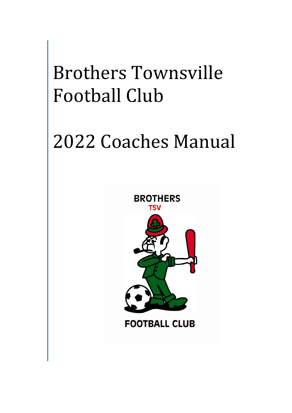# Brothers Townsville Football Club

# 2022 Coaches Manual



**FOOTBALL CLUB**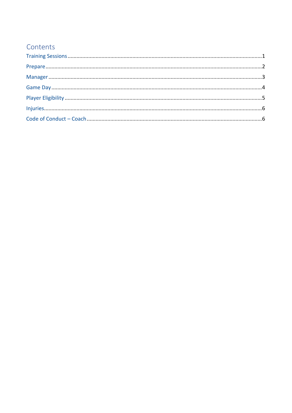## Contents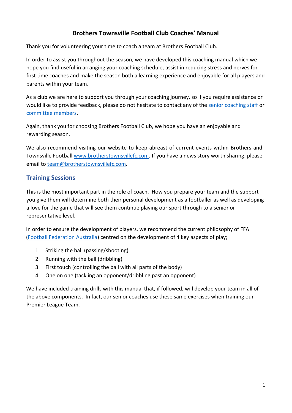### **Brothers Townsville Football Club Coaches' Manual**

Thank you for volunteering your time to coach a team at Brothers Football Club.

In order to assist you throughout the season, we have developed this coaching manual which we hope you find useful in arranging your coaching schedule, assist in reducing stress and nerves for first time coaches and make the season both a learning experience and enjoyable for all players and parents within your team.

As a club we are here to support you through your coaching journey, so if you require assistance or would like to provide feedback, please do not hesitate to contact any of the senior coaching staff or committee members.

Again, thank you for choosing Brothers Football Club, we hope you have an enjoyable and rewarding season.

We also recommend visiting our website to keep abreast of current events within Brothers and Townsville Football www.brotherstownsvillefc.com. If you have a news story worth sharing, please email to team@brotherstownsvillefc.com.

#### <span id="page-2-0"></span>**Training Sessions**

This is the most important part in the role of coach. How you prepare your team and the support you give them will determine both their personal development as a footballer as well as developing a love for the game that will see them continue playing our sport through to a senior or representative level.

In order to ensure the development of players, we recommend the current philosophy of FFA (Football Federation Australia) centred on the development of 4 key aspects of play;

- 1. Striking the ball (passing/shooting)
- 2. Running with the ball (dribbling)
- 3. First touch (controlling the ball with all parts of the body)
- 4. One on one (tackling an opponent/dribbling past an opponent)

We have included training drills with this manual that, if followed, will develop your team in all of the above components. In fact, our senior coaches use these same exercises when training our Premier League Team.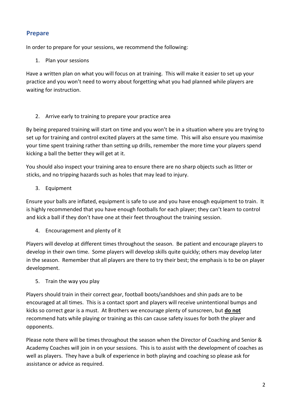### <span id="page-3-0"></span>**Prepare**

In order to prepare for your sessions, we recommend the following:

#### 1. Plan your sessions

Have a written plan on what you will focus on at training. This will make it easier to set up your practice and you won't need to worry about forgetting what you had planned while players are waiting for instruction.

#### 2. Arrive early to training to prepare your practice area

By being prepared training will start on time and you won't be in a situation where you are trying to set up for training and control excited players at the same time. This will also ensure you maximise your time spent training rather than setting up drills, remember the more time your players spend kicking a ball the better they will get at it.

You should also inspect your training area to ensure there are no sharp objects such as litter or sticks, and no tripping hazards such as holes that may lead to injury.

3. Equipment

Ensure your balls are inflated, equipment is safe to use and you have enough equipment to train. It is highly recommended that you have enough footballs for each player; they can't learn to control and kick a ball if they don't have one at their feet throughout the training session.

4. Encouragement and plenty of it

Players will develop at different times throughout the season. Be patient and encourage players to develop in their own time. Some players will develop skills quite quickly; others may develop later in the season. Remember that all players are there to try their best; the emphasis is to be on player development.

5. Train the way you play

Players should train in their correct gear, football boots/sandshoes and shin pads are to be encouraged at all times. This is a contact sport and players will receive unintentional bumps and kicks so correct gear is a must. At Brothers we encourage plenty of sunscreen, but **do not** recommend hats while playing or training as this can cause safety issues for both the player and opponents.

Please note there will be times throughout the season when the Director of Coaching and Senior & Academy Coaches will join in on your sessions. This is to assist with the development of coaches as well as players. They have a bulk of experience in both playing and coaching so please ask for assistance or advice as required.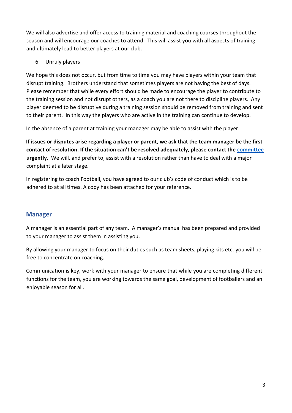We will also advertise and offer access to training material and coaching courses throughout the season and will encourage our coaches to attend. This will assist you with all aspects of training and ultimately lead to better players at our club.

6. Unruly players

We hope this does not occur, but from time to time you may have players within your team that disrupt training. Brothers understand that sometimes players are not having the best of days. Please remember that while every effort should be made to encourage the player to contribute to the training session and not disrupt others, as a coach you are not there to discipline players. Any player deemed to be disruptive during a training session should be removed from training and sent to their parent. In this way the players who are active in the training can continue to develop.

In the absence of a parent at training your manager may be able to assist with the player.

**If issues or disputes arise regarding a player or parent, we ask that the team manager be the first contact of resolution. If the situation can't be resolved adequately, please contact the committee urgently.** We will, and prefer to, assist with a resolution rather than have to deal with a major complaint at a later stage.

In registering to coach Football, you have agreed to our club's code of conduct which is to be adhered to at all times. A copy has been attached for your reference.

### <span id="page-4-0"></span>**Manager**

A manager is an essential part of any team. A manager's manual has been prepared and provided to your manager to assist them in assisting you.

By allowing your manager to focus on their duties such as team sheets, playing kits etc, you will be free to concentrate on coaching.

Communication is key, work with your manager to ensure that while you are completing different functions for the team, you are working towards the same goal, development of footballers and an enjoyable season for all.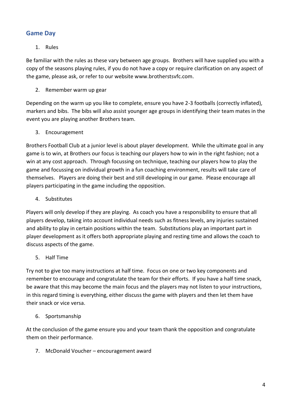### <span id="page-5-0"></span>**Game Day**

#### 1. Rules

Be familiar with the rules as these vary between age groups. Brothers will have supplied you with a copy of the seasons playing rules, if you do not have a copy or require clarification on any aspect of the game, please ask, or refer to our website www.brotherstsvfc.com.

2. Remember warm up gear

Depending on the warm up you like to complete, ensure you have 2-3 footballs (correctly inflated), markers and bibs. The bibs will also assist younger age groups in identifying their team mates in the event you are playing another Brothers team.

3. Encouragement

Brothers Football Club at a junior level is about player development. While the ultimate goal in any game is to win, at Brothers our focus is teaching our players how to win in the right fashion; not a win at any cost approach. Through focussing on technique, teaching our players how to play the game and focussing on individual growth in a fun coaching environment, results will take care of themselves. Players are doing their best and still developing in our game. Please encourage all players participating in the game including the opposition.

4. Substitutes

Players will only develop if they are playing. As coach you have a responsibility to ensure that all players develop, taking into account individual needs such as fitness levels, any injuries sustained and ability to play in certain positions within the team. Substitutions play an important part in player development as it offers both appropriate playing and resting time and allows the coach to discuss aspects of the game.

### 5. Half Time

Try not to give too many instructions at half time. Focus on one or two key components and remember to encourage and congratulate the team for their efforts. If you have a half time snack, be aware that this may become the main focus and the players may not listen to your instructions, in this regard timing is everything, either discuss the game with players and then let them have their snack or vice versa.

6. Sportsmanship

At the conclusion of the game ensure you and your team thank the opposition and congratulate them on their performance.

7. McDonald Voucher – encouragement award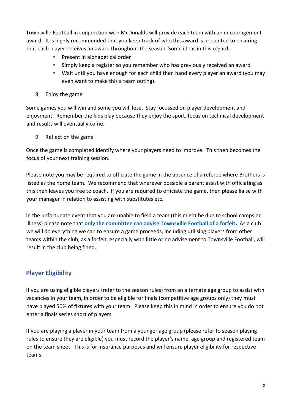Townsville Football in conjunction with McDonalds will provide each team with an encouragement award. It is highly recommended that you keep track of who this award is presented to ensuring that each player receives an award throughout the season. Some ideas in this regard;

- Present in alphabetical order
- Simply keep a register so you remember who has previously received an award
- Wait until you have enough for each child then hand every player an award (you may even want to make this a team outing).
- 8. Enjoy the game

Some games you will win and some you will lose. Stay focussed on player development and enjoyment. Remember the kids play because they enjoy the sport, focus on technical development and results will eventually come.

9. Reflect on the game

Once the game is completed identify where your players need to improve. This then becomes the focus of your next training session.

Please note you may be required to officiate the game in the absence of a referee where Brothers is listed as the home team. We recommend that wherever possible a parent assist with officiating as this then leaves you free to coach. If you are required to officiate the game, then please liaise with your manager in relation to assisting with substitutes etc.

In the unfortunate event that you are unable to field a team (this might be due to school camps or illness) please note that **only the committee can advise Townsville Football of a forfeit.** As a club we will do everything we can to ensure a game proceeds, including utilising players from other teams within the club, as a forfeit, especially with little or no advisement to Townsville Football, will result in the club being fined.

## <span id="page-6-0"></span>**Player Eligibility**

If you are using eligible players (refer to the season rules) from an alternate age group to assist with vacancies in your team, in order to be eligible for finals (competitive age groups only) they must have played 50% of fixtures with your team. Please keep this in mind in order to ensure you do not enter a finals series short of players.

If you are playing a player in your team from a younger age group (please refer to season playing rules to ensure they are eligible) you must record the player's name, age group and registered team on the team sheet. This is for insurance purposes and will ensure player eligibility for respective teams.